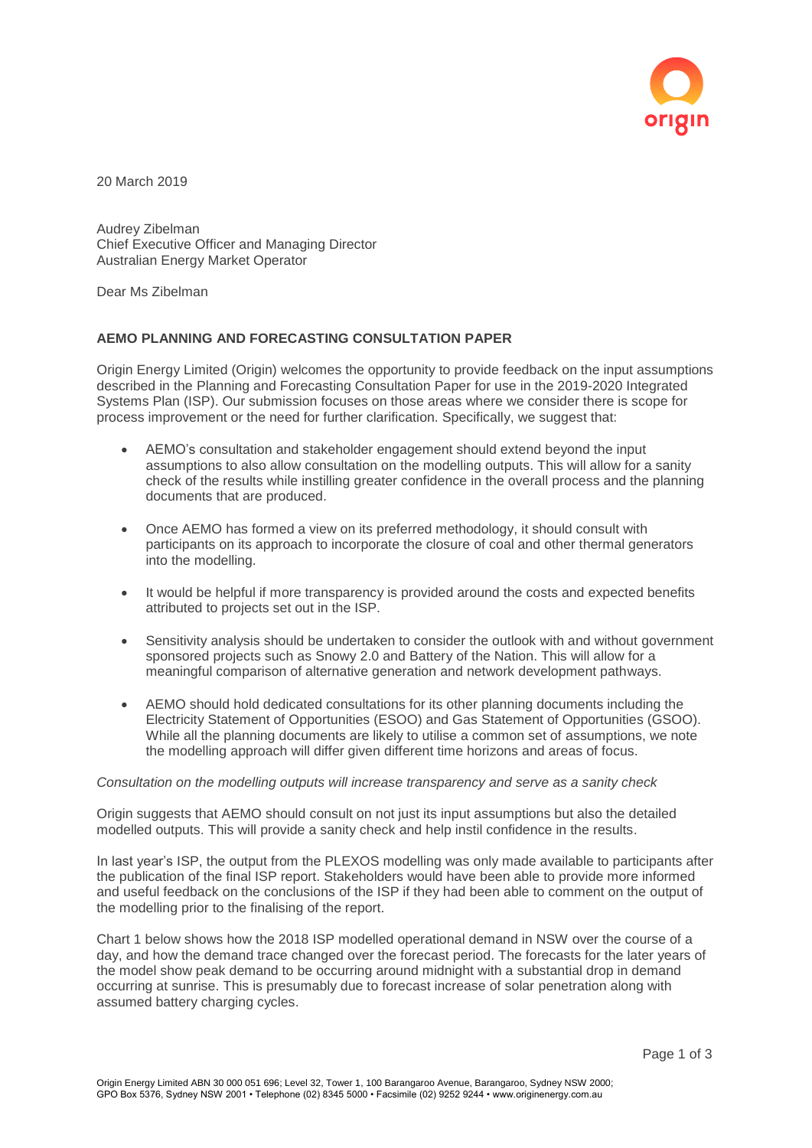

20 March 2019

Audrey Zibelman Chief Executive Officer and Managing Director Australian Energy Market Operator

Dear Ms Zibelman

# **AEMO PLANNING AND FORECASTING CONSULTATION PAPER**

Origin Energy Limited (Origin) welcomes the opportunity to provide feedback on the input assumptions described in the Planning and Forecasting Consultation Paper for use in the 2019-2020 Integrated Systems Plan (ISP). Our submission focuses on those areas where we consider there is scope for process improvement or the need for further clarification. Specifically, we suggest that:

- AEMO's consultation and stakeholder engagement should extend beyond the input assumptions to also allow consultation on the modelling outputs. This will allow for a sanity check of the results while instilling greater confidence in the overall process and the planning documents that are produced.
- Once AEMO has formed a view on its preferred methodology, it should consult with participants on its approach to incorporate the closure of coal and other thermal generators into the modelling.
- It would be helpful if more transparency is provided around the costs and expected benefits attributed to projects set out in the ISP.
- Sensitivity analysis should be undertaken to consider the outlook with and without government sponsored projects such as Snowy 2.0 and Battery of the Nation. This will allow for a meaningful comparison of alternative generation and network development pathways.
- AEMO should hold dedicated consultations for its other planning documents including the Electricity Statement of Opportunities (ESOO) and Gas Statement of Opportunities (GSOO). While all the planning documents are likely to utilise a common set of assumptions, we note the modelling approach will differ given different time horizons and areas of focus.

#### *Consultation on the modelling outputs will increase transparency and serve as a sanity check*

Origin suggests that AEMO should consult on not just its input assumptions but also the detailed modelled outputs. This will provide a sanity check and help instil confidence in the results.

In last year's ISP, the output from the PLEXOS modelling was only made available to participants after the publication of the final ISP report. Stakeholders would have been able to provide more informed and useful feedback on the conclusions of the ISP if they had been able to comment on the output of the modelling prior to the finalising of the report.

Chart 1 below shows how the 2018 ISP modelled operational demand in NSW over the course of a day, and how the demand trace changed over the forecast period. The forecasts for the later years of the model show peak demand to be occurring around midnight with a substantial drop in demand occurring at sunrise. This is presumably due to forecast increase of solar penetration along with assumed battery charging cycles.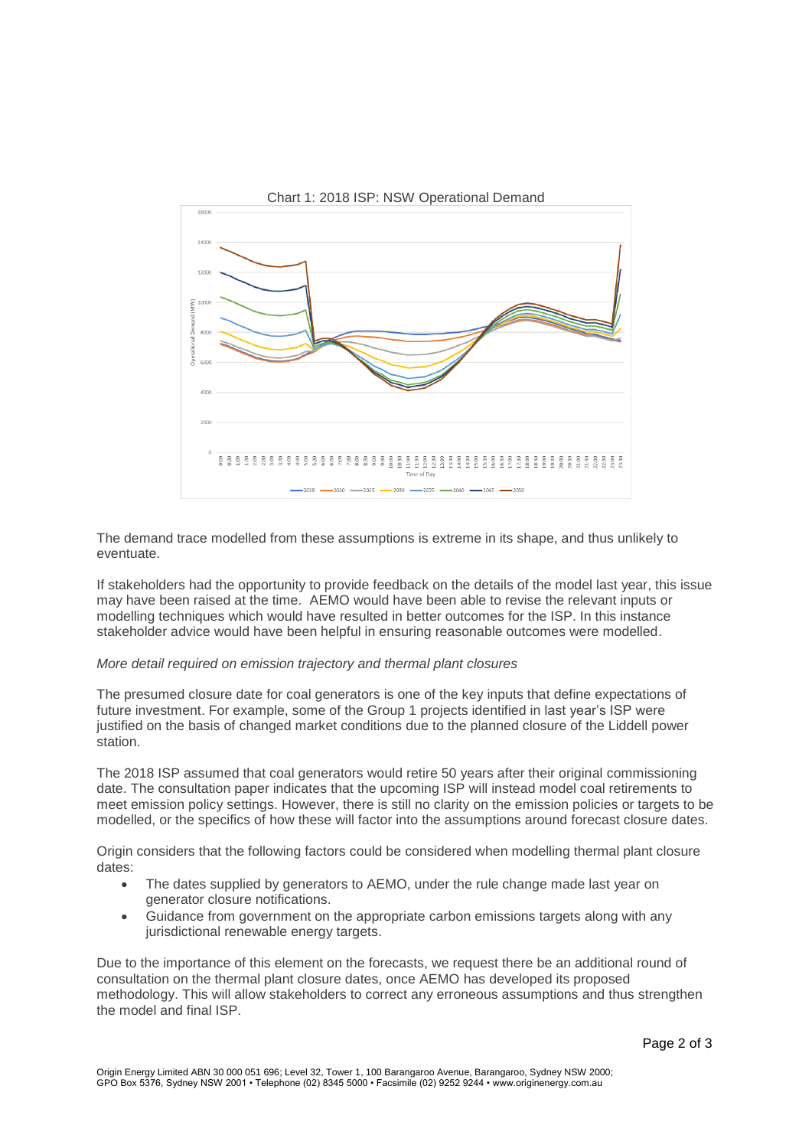

The demand trace modelled from these assumptions is extreme in its shape, and thus unlikely to eventuate.

If stakeholders had the opportunity to provide feedback on the details of the model last year, this issue may have been raised at the time. AEMO would have been able to revise the relevant inputs or modelling techniques which would have resulted in better outcomes for the ISP. In this instance stakeholder advice would have been helpful in ensuring reasonable outcomes were modelled.

## *More detail required on emission trajectory and thermal plant closures*

The presumed closure date for coal generators is one of the key inputs that define expectations of future investment. For example, some of the Group 1 projects identified in last year's ISP were justified on the basis of changed market conditions due to the planned closure of the Liddell power station.

The 2018 ISP assumed that coal generators would retire 50 years after their original commissioning date. The consultation paper indicates that the upcoming ISP will instead model coal retirements to meet emission policy settings. However, there is still no clarity on the emission policies or targets to be modelled, or the specifics of how these will factor into the assumptions around forecast closure dates.

Origin considers that the following factors could be considered when modelling thermal plant closure dates:

- The dates supplied by generators to AEMO, under the rule change made last year on generator closure notifications.
- Guidance from government on the appropriate carbon emissions targets along with any jurisdictional renewable energy targets.

Due to the importance of this element on the forecasts, we request there be an additional round of consultation on the thermal plant closure dates, once AEMO has developed its proposed methodology. This will allow stakeholders to correct any erroneous assumptions and thus strengthen the model and final ISP.